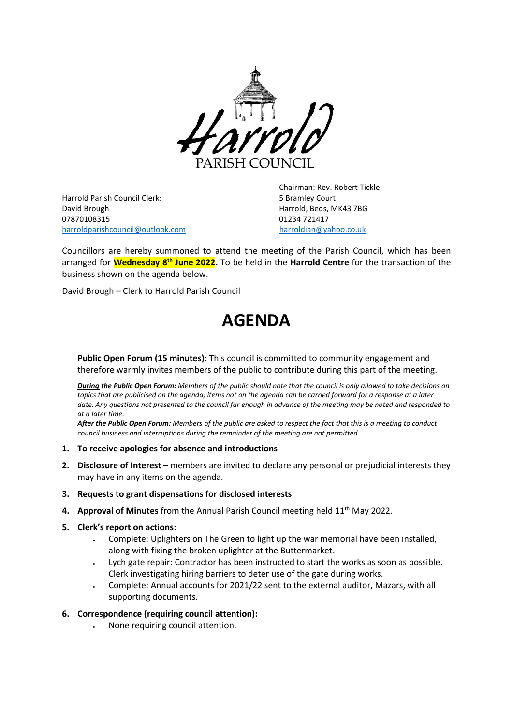

Harrold Parish Council Clerk: 5 Bramley Court David Brough Harrold, Beds, MK43 7BG 07870108315 01234 721417 [harroldparishcouncil@outlook.com](mailto:harroldparishcouncil@outlook.com) [harroldian@yahoo.co.uk](mailto:harroldian@yahoo.co.uk)

Chairman: Rev. Robert Tickle

Councillors are hereby summoned to attend the meeting of the Parish Council, which has been arranged for **Wednesday 8 th June 2022.** To be held in the **Harrold Centre** for the transaction of the business shown on the agenda below.

David Brough – Clerk to Harrold Parish Council

# **AGENDA**

**Public Open Forum (15 minutes):** This council is committed to community engagement and therefore warmly invites members of the public to contribute during this part of the meeting.

*During the Public Open Forum: Members of the public should note that the council is only allowed to take decisions on topics that are publicised on the agenda; items not on the agenda can be carried forward for a response at a later date. Any questions not presented to the council far enough in advance of the meeting may be noted and responded to at a later time.*

*After the Public Open Forum: Members of the public are asked to respect the fact that this is a meeting to conduct council business and interruptions during the remainder of the meeting are not permitted.*

#### **1. To receive apologies for absence and introductions**

- **2. Disclosure of Interest** members are invited to declare any personal or prejudicial interests they may have in any items on the agenda.
- **3. Requests to grant dispensations for disclosed interests**
- 4. Approval of Minutes from the Annual Parish Council meeting held 11<sup>th</sup> May 2022.
- **5. Clerk's report on actions:**
	- Complete: Uplighters on The Green to light up the war memorial have been installed, along with fixing the broken uplighter at the Buttermarket.
	- Lych gate repair: Contractor has been instructed to start the works as soon as possible. Clerk investigating hiring barriers to deter use of the gate during works.
	- Complete: Annual accounts for 2021/22 sent to the external auditor, Mazars, with all supporting documents.

#### **6. Correspondence (requiring council attention):**

• None requiring council attention.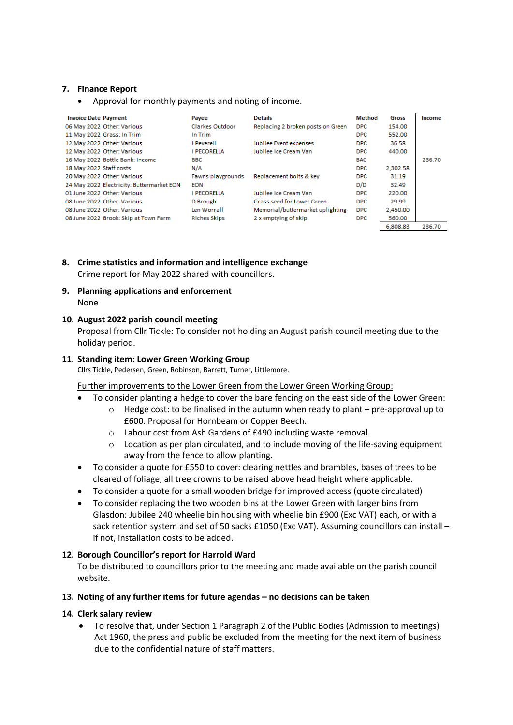#### **7. Finance Report**

• Approval for monthly payments and noting of income.

| <b>Invoice Date Payment</b>               | Pavee               | <b>Details</b>                    | <b>Method</b> | Gross    | Income |
|-------------------------------------------|---------------------|-----------------------------------|---------------|----------|--------|
| 06 May 2022 Other: Various                | Clarkes Outdoor     | Replacing 2 broken posts on Green | <b>DPC</b>    | 154.00   |        |
| 11 May 2022 Grass: In Trim                | In Trim             |                                   | DPC.          | 552.00   |        |
| 12 May 2022 Other: Various                | J Peverell          | Jubilee Event expenses            | DPC.          | 36.58    |        |
| 12 May 2022 Other: Various                | I PECORELLA         | Jubilee Ice Cream Van             | DPC.          | 440.00   |        |
| 16 May 2022 Bottle Bank: Income           | <b>BBC</b>          |                                   | <b>BAC</b>    |          | 236.70 |
| 18 May 2022 Staff costs                   | N/A                 |                                   | <b>DPC</b>    | 2,302.58 |        |
| 20 May 2022 Other: Various                | Fawns playgrounds   | Replacement bolts & key           | <b>DPC</b>    | 31.19    |        |
| 24 May 2022 Electricity: Buttermarket EON | <b>EON</b>          |                                   | D/D           | 32.49    |        |
| 01 June 2022 Other: Various               | I PECORELLA         | Jubilee Ice Cream Van             | DPC.          | 220.00   |        |
| 08 June 2022 Other: Various               | D Brough            | Grass seed for Lower Green        | <b>DPC</b>    | 29.99    |        |
| 08 June 2022 Other: Various               | Len Worrall         | Memorial/buttermarket uplighting  | <b>DPC</b>    | 2,450.00 |        |
| 08 June 2022 Brook: Skip at Town Farm     | <b>Riches Skips</b> | 2 x emptying of skip              | <b>DPC</b>    | 560.00   |        |
|                                           |                     |                                   |               | 6.808.83 | 236.70 |

## **8. Crime statistics and information and intelligence exchange** Crime report for May 2022 shared with councillors.

#### **9. Planning applications and enforcement** None

#### **10. August 2022 parish council meeting**

Proposal from Cllr Tickle: To consider not holding an August parish council meeting due to the holiday period.

### **11. Standing item: Lower Green Working Group**

Cllrs Tickle, Pedersen, Green, Robinson, Barrett, Turner, Littlemore.

#### Further improvements to the Lower Green from the Lower Green Working Group:

- To consider planting a hedge to cover the bare fencing on the east side of the Lower Green:
	- $\circ$  Hedge cost: to be finalised in the autumn when ready to plant pre-approval up to
		- £600. Proposal for Hornbeam or Copper Beech. o Labour cost from Ash Gardens of £490 including waste removal.
		- $\circ$  Location as per plan circulated, and to include moving of the life-saving equipment away from the fence to allow planting.
- To consider a quote for £550 to cover: clearing nettles and brambles, bases of trees to be cleared of foliage, all tree crowns to be raised above head height where applicable.
- To consider a quote for a small wooden bridge for improved access (quote circulated)
- To consider replacing the two wooden bins at the Lower Green with larger bins from Glasdon: Jubilee 240 wheelie bin housing with wheelie bin £900 (Exc VAT) each, or with a sack retention system and set of 50 sacks £1050 (Exc VAT). Assuming councillors can install if not, installation costs to be added.

#### **12. Borough Councillor's report for Harrold Ward**

To be distributed to councillors prior to the meeting and made available on the parish council website.

#### **13. Noting of any further items for future agendas – no decisions can be taken**

#### **14. Clerk salary review**

• To resolve that, under Section 1 Paragraph 2 of the Public Bodies (Admission to meetings) Act 1960, the press and public be excluded from the meeting for the next item of business due to the confidential nature of staff matters.